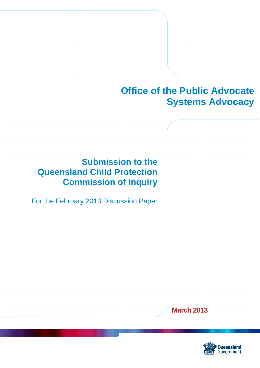# **Office of the Public Advocate Systems Advocacy**

## **Submission to the Queensland Child Protection Commission of Inquiry**

For the February 2013 Discussion Paper

**March 2013** 

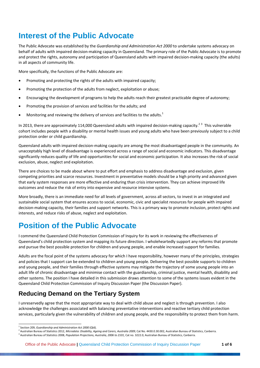### **Interest of the Public Advocate**

The Public Advocate was established by the *Guardianship and Administration Act 2000* to undertake systems advocacy on behalf of adults with impaired decision‐making capacity in Queensland. The primary role of the Public Advocate is to promote and protect the rights, autonomy and participation of Queensland adults with impaired decision-making capacity (the adults) in all aspects of community life.

More specifically, the functions of the Public Advocate are:

- Promoting and protecting the rights of the adults with impaired capacity;
- Promoting the protection of the adults from neglect, exploitation or abuse;
- Encouraging the development of programs to help the adults reach their greatest practicable degree of autonomy;
- Promoting the provision of services and facilities for the adults; and
- $\bullet$  Monitoring and reviewing the delivery of services and facilities to the adults.<sup>1</sup>

In 2013, there are approximately 114,000 Queensland adults with impaired decision-making capacity.<sup>23</sup> This vulnerable cohort includes people with a disability or mental health issues and young adults who have been previously subject to a child protection order or child guardianship.

Queensland adults with impaired decision‐making capacity are among the most disadvantaged people in the community. An unacceptably high level of disadvantage is experienced across a range of social and economic indicators. This disadvantage significantly reduces quality of life and opportunities for social and economic participation. It also increases the risk of social exclusion, abuse, neglect and exploitation.

There are choices to be made about where to put effort and emphasis to address disadvantage and exclusion, given competing priorities and scarce resources. Investment in preventative models should be a high priority and advanced given that early system responses are more effective and enduring than crisis intervention. They can achieve improved life outcomes and reduce the risk of entry into expensive and resource intensive systems.

More broadly, there is an immediate need for all levels of government, across all sectors, to invest in an integrated and sustainable social system that ensures access to social, economic, civic and specialist resources for people with impaired decision‐making capacity, their families and support networks. This is a primary way to promote inclusion, protect rights and interests, and reduce risks of abuse, neglect and exploitation.

### **Position of the Public Advocate**

I commend the Queensland Child Protection Commission of Inquiry for its work in reviewing the effectiveness of Queensland's child protection system and mapping its future direction. I wholeheartedly support any reforms that promote and pursue the best possible protection for children and young people, and enable increased support for families.

Adults are the focal point of the systems advocacy for which I have responsibility, however many of the principles, strategies and policies that I support can be extended to children and young people. Delivering the best possible supports to children and young people, and their families through effective systems may mitigate the trajectory of some young people into an adult life of chronic disadvantage and minimise contact with the guardianship, criminal justice, mental health, disability and other systems. The position I have detailed in this submission draws attention to some of the systems issues evident in the Queensland Child Protection Commission of Inquiry Discussion Paper (the Discussion Paper).

### **Reducing Demand on the Tertiary System**

I unreservedly agree that the most appropriate way to deal with child abuse and neglect is through prevention. I also acknowledge the challenges associated with balancing preventative interventions and reactive tertiary child protection services, particularly given the vulnerability of children and young people, and the responsibility to protect them from harm.

<sup>&</sup>lt;sup>1</sup> Section 209, *Guardianship and Administration Act 2000* (Qld).<br><sup>2</sup> Australian Bureau of Statistics 2012, *Microdata: Disability, Ageing and Carers, Australia 2009*, Cat No. 4430.0.30.002, Australian Bureau of Statistic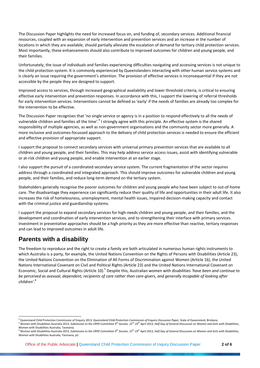The Discussion Paper highlights the need for increased focus on, and funding of, secondary services. Additional financial resources, coupled with an expansion of early intervention and prevention services and an increase in the number of locations in which they are available, should partially alleviate the escalation of demand for tertiary child protection services. Most importantly, these enhancements should also contribute to improved outcomes for children and young people, and their families.

Unfortunately, the issue of individuals and families experiencing difficulties navigating and accessing services is not unique to the child protection system. It is commonly experienced by Queenslanders interacting with other human service systems and is clearly an issue requiring the government's attention. The provision of effective services is inconsequential if they are not accessible by the people they are designed to support.

Improved access to services, through increased geographical availability and lower threshold criteria, is critical to ensuring effective early intervention and prevention responses. In accordance with this, I support the lowering of referral thresholds for early intervention services. Interventions cannot be defined as 'early' if the needs of families are already too complex for the intervention to be effective.

The Discussion Paper recognises that 'no single service or agency is in a position to respond effectively to all the needs of vulnerable children and families all the time'.<sup>4</sup> I strongly agree with this principle. An effective system is the shared responsibility of multiple agencies, as well as non‐government organisations and the community sector more generally. A more inclusive and outcomes‐focussed approach to the delivery of child protection services is needed to ensure the efficient and effective provision of appropriate support.

I support the proposal to connect secondary services with universal primary prevention services that are available to all children and young people, and their families. This may help address service access issues, assist with identifying vulnerable or at‐risk children and young people, and enable intervention at an earlier stage.

I also support the pursuit of a coordinated secondary service system. The current fragmentation of the sector requires address through a coordinated and integrated approach. This should improve outcomes for vulnerable children and young people, and their families, and reduce long‐term demand on the tertiary system.

Stakeholders generally recognise the poorer outcomes for children and young people who have been subject to out-of-home care. The disadvantage they experience can significantly reduce their quality of life and opportunities in their adult life. It also increases the risk of homelessness, unemployment, mental health issues, impaired decision‐making capacity and contact with the criminal justice and guardianship systems.

I support the proposal to expand secondary services for high‐needs children and young people, and their families, and the development and coordination of early intervention services, and to strengthening their interface with primary services. Investment in preventative approaches should be a high priority as they are more effective than reactive, tertiary responses and can lead to improved outcomes in adult life.

#### **Parents with a disability**

The freedom to reproduce and the right to create a family are both articulated in numerous human rights instruments to which Australia is a party, for example, the United Nations Convention on the Rights of Persons with Disabilities (Article 23), the United Nations Convention on the Elimination of All Forms of Discrimination against Women (Article 16), the United Nations International Covenant on Civil and Political Rights (Article 23) and the United Nations International Covenant on Economic, Social and Cultural Rights (Article 10).<sup>5</sup> Despite this, Australian women with disabilities *'have been and continue to* be perceived as asexual, dependent, recipients of care rather than care-aivers, and generally incapable of looking after *children'*. 6

<sup>&</sup>lt;sup>4</sup> Queensland Child Protection Commission of Enquiry 2013, Queensland Child Protection Commission of Enquiry Discussion Paper, State of Queensland, Brisbane.<br><sup>5</sup> Women with Disabilities Australia 2013, Submission to the C

 $^6$  Women with Disabilities Australia 2013, Submission to the CRPD Committee  $g^{th}$  Session, 15<sup>th</sup>-19<sup>th</sup> April 2013, Half Day of General Discussion on Women and Girls with Disabilities, Women with Disabilities Australia, Tasmania, p5.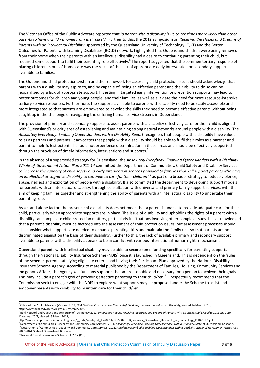The Victorian Office of the Public Advocate reported that 'a parent with a disability is up to ten times more likely than other parents to have a child removed from their care'.<sup>7</sup> Further to this, the 2012 symposium on Realising the Hopes and Dreams of *Parents with an Intellectual Disability*, sponsored by the Queensland University of Technology (QUT) and the Better Outcomes for Parents with Learning Disabilities (BOLD) network, highlighted that Queensland children were being removed from their home when their parents with an intellectual disability had a desire to continuing parenting their child, but required some support to fulfil their parenting role effectively.<sup>8</sup> The report suggested that the common tertiary response of placing children in out‐of‐home care was the result of the lack of appropriate early intervention or secondary supports available to families.

The Queensland child protection system and the framework for assessing child protection issues should acknowledge that parents with a disability may aspire to, and be capable of, being an effective parent and their ability to do so can be jeopardised by a lack of appropriate support. Investing in targeted early intervention or prevention supports may lead to better outcomes for children and young people, and their families, as well as alleviate the need for more resource-intensive tertiary service responses. Furthermore, the supports available to parents with disability need to be easily accessible and more integrated so that parents are empowered to develop the skills they need to become effective parents without being caught up in the challenge of navigating the differing human service streams in Queensland.

The provision of primary and secondary supports to assist parents with a disability effectively care for their child is aligned with Queensland's priority area of establishing and maintaining strong natural networks around people with a disability. The *Absolutely Everybody: Enabling Queenslanders with a Disability Report* recognises that people with a disability have valued roles as partners and parents. It advocates that people with a disability should be able to fulfil their roles as a partner and parent to their fullest potential, should not experience discrimination in these areas and should be effectively supported through the provision of timely information, interventions and supports.<sup>9</sup>

In the absence of a superseded strategy for Queensland, the *Absolutely Everybody: Enabling Queenslanders with a Disability Whole‐of‐Government Action Plan 2011‐14* committed the Department of Communities, Child Safety and Disability Services to 'increase the capacity of child safety and early intervention services provided to families that will support parents who have *an intellectual or cognitive disability to continue to care for their children'*<sup>10</sup> as part of a broader strategy to reduce violence, abuse, neglect and exploitation of people with a disability. It also committed the department to developing support models for parents with an intellectual disability, through consultation with universal and primary family support services, with the aim of keeping families together and strengthening the ability of parents with an intellectual disability to undertake their parenting role.

As a stand‐alone factor, the presence of a disability does not mean that a parent is unable to provide adequate care for their child, particularly when appropriate supports are in place. The issue of disability and upholding the rights of a parent with a disability can complicate child protection matters, particularly in situations involving other complex issues. It is acknowledged that a parent's disability must be factored into the assessment of child protection issues, but assessment processes should also consider what supports are needed to enhance parenting skills and maintain the family unit so that parents are not discriminated against on the basis of their disability. Further to this, the lack of available primary and secondary support available to parents with a disability appears to be in conflict with various international human rights mechanisms.

Queensland parents with intellectual disability may be able to secure some funding specifically for parenting supports through the National Disability Insurance Scheme (NDIS) once it is launched in Queensland. This is dependent on the 'rules' of the scheme, parents satisfying eligibility criteria and having their Participant Plan approved by the National Disability Insurance Scheme Agency. According to material published by the Department of Families, Housing, Community Services and Indigenous Affairs, the Agency will fund any supports that are reasonable and necessary for a person to achieve their goals. This may include a parent's goal of providing effective parenting to their child/ren.<sup>11</sup> I respectfully recommend that the Commission seek to engage with the NDIS to explore what supports may be proposed under the Scheme to assist and empower parents with disability to maintain care for their child/ren.

<sup>&</sup>lt;sup>7</sup> Office of the Public Advocate (Victoria) 2012, OPA Position Statement: The Removal of Children from their Parent with a Disability, viewed 14 March 2013,

http://www.publicadvocate.vic.gov.au/research/302.<br><sup>8</sup> Bold Network and Queensland University of Technology 2012, Symposium Report: Realising the Hopes and Dreams of Parents with an Intellectual Disability 19th and 20th *November 2012, viewed 13 March 2013,*<br>http://www.childprotectioninquiry.qld.gov.au/\_data/assets/pdf\_file/0011/175538/BOLD\_Network\_Queensland\_University\_of\_Technology\_REDACTED.pdf.

<sup>&</sup>lt;sup>9</sup> Department of Communities (Disability and Community Care Services) 2011, Absolutely Everybody: Enabling Queenslanders with a Disability, State of Queensland, Brisbane.<br><sup>10</sup> Department of Communities (Disability and Com

<sup>&</sup>lt;sup>11</sup> National Disability Insurance Scheme Bill 2012 (Cth).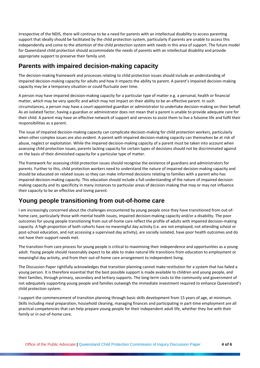Irrespective of the NDIS, there will continue to be a need for parents with an intellectual disability to access parenting support that ideally should be facilitated by the child protection system, particularly if parents are unable to access this independently and come to the attention of the child protection system with needs in this area of support. The future model for Queensland child protection should accommodate the needs of parents with an intellectual disability and provide appropriate support to preserve their family unit.

#### **Parents with impaired decision-making capacity**

The decision-making framework and processes relating to child protection issues should include an understanding of impaired decision‐making capacity for adults and how it impacts the ability to parent. A parent's impaired decision‐making capacity may be a temporary situation or could fluctuate over time.

A person may have impaired decision‐making capacity for a particular type of matter e.g. a personal, health or financial matter, which may be very specific and which may not impact on their ability to be an effective parent. In such circumstances, a person may have a court‐appointed guardian or administrator to undertake decision‐making on their behalf. As an isolated factor, having a guardian or administrator does not mean that a parent is unable to provide adequate care for their child. A parent may have an effective network of support and services to assist them to live a fulsome life and fulfil their responsibilities as a parent.

The issue of impaired decision‐making capacity can complicate decision‐making for child protection workers, particularly when other complex issues are also evident. A parent with impaired decision-making capacity can themselves be at risk of abuse, neglect or exploitation. While the impaired decision-making capacity of a parent must be taken into account when assessing child protection issues, parents lacking capacity for certain types of decisions should not be discriminated against on the basis of their diminished capacity for a particular type of matter.

The framework for assessing child protection issues should recognise the existence of guardians and administrators for parents. Further to this, child protection workers need to understand the nature of impaired decision-making capacity and should be educated on related issues so they can make informed decisions relating to families with a parent who has impaired decision-making capacity. This education should include a full understanding of the nature of impaired decisionmaking capacity and its specificity in many instances to particular areas of decision‐making that may or may not influence their capacity to be an effective and loving parent.

#### **Young people transitioning from out-of-home care**

I am increasingly concerned about the challenges encountered by young people once they have transitioned from out‐of‐ home care, particularly those with mental health issues, impaired decision-making capacity and/or a disability. The poor outcomes for young people transitioning from out‐of‐home care reflect the profile of adults with impaired decision‐making capacity. A high proportion of both cohorts have no meaningful day activity (i.e. are not employed, not attending school or post‐school education, and not accessing a supervised day activity), are socially isolated, have poor health outcomes and do not have their support needs met.

The transition from care process for young people is critical to maximising their independence and opportunities as a young adult. Young people should reasonably expect to be able to make natural life transitions from education to employment or meaningful day activity, and from their out‐of‐home care arrangement to independent living.

The Discussion Paper rightfully acknowledges that transition planning cannot make restitution for a system that has failed a young person. It is therefore essential that the best possible support is made available to children and young people, and their families, through primary, secondary and tertiary supports. The long‐term costs to the community and government of not adequately supporting young people and families outweigh the immediate investment required to enhance Queensland's child protection system.

I support the commencement of transition planning through basic skills development from 15 years of age, at minimum. Skills including meal preparation, household cleaning, managing finances and participating in part‐time employment are all practical competencies that can help prepare young people for their independent adult life, whether they live with their family or in out‐of‐home care.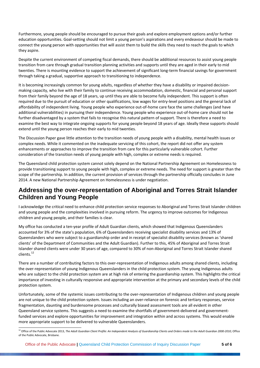Furthermore, young people should be encouraged to pursue their goals and explore employment options and/or further education opportunities. Goal‐setting should not limit a young person's aspirations and every endeavour should be made to connect the young person with opportunities that will assist them to build the skills they need to reach the goals to which they aspire.

Despite the current environment of competing fiscal demands, there should be additional resources to assist young people transition from care through gradual transition planning activities and supports until they are aged in their early to mid twenties. There is mounting evidence to support the achievement of significant long-term financial savings for government through taking a gradual, supportive approach to transitioning to independence.

It is becoming increasingly common for young adults, regardless of whether they have a disability or impaired decisionmaking capacity, who live with their family to continue receiving accommodation, domestic, financial and personal support from their family beyond the age of 18 years, up until they are able to become fully independent. This support is often required due to the pursuit of education or other qualifications, low wages for entry-level positions and the general lack of affordability of independent living. Young people who experience out-of-home care face the same challenges (and have additional vulnerabilities) in pursuing their independence. Young people who experience out‐of‐home care should not be further disadvantaged by a system that fails to recognise this natural pattern of support. There is therefore a need to examine the best way to integrate ongoing supports for young people beyond 18 years of age. Ideally these supports should extend until the young person reaches their early to mid twenties.

The Discussion Paper gave little attention to the transition needs of young people with a disability, mental health issues or complex needs. While it commented on the inadequate servicing of this cohort, the report did not offer any system enhancements or approaches to improve the transition from care for this particularly vulnerable cohort. Further consideration of the transition needs of young people with high, complex or extreme needs is required.

The Queensland child protection system cannot solely depend on the National Partnership Agreement on Homelessness to provide transitioning support to young people with high, complex or extreme needs. The need for support is greater than the scope of the partnership. In addition, the current provision of services through the partnership officially concludes in June 2014. A new National Partnership Agreement on Homelessness is under negotiation.

#### **Addressing the over-representation of Aboriginal and Torres Strait Islander Children and Young People**

I acknowledge the critical need to enhance child protection service responses to Aboriginal and Torres Strait Islander children and young people and the complexities involved in pursuing reform. The urgency to improve outcomes for Indigenous children and young people, and their families is clear.

My office has conducted a ten‐year profile of Adult Guardian clients, which showed that Indigenous Queenslanders accounted for 3% of the state's population, 6% of Queenslanders receiving specialist disability services and 13% of Queenslanders who were subject to a guardianship order and in receipt of specialist disability services (known as 'shared clients' of the Department of Communities and the Adult Guardian). Further to this, 45% of Aboriginal and Torres Strait Islander shared clients were under 30 years of age, compared to 30% of non‐Aboriginal and Torres Strait Islander shared clients.<sup>12</sup>

There are a number of contributing factors to this over-representation of Indigenous adults among shared clients, including the over-representation of young Indigenous Queenslanders in the child protection system. The young Indigenous adults who are subject to the child protection system are at high risk of entering the guardianship system. This highlights the critical importance of investing in culturally responsive and appropriate intervention at the primary and secondary levels of the child protection system.

Unfortunately, some of the systemic issues contributing to the over‐representation of Indigenous children and young people are not unique to the child protection system. Issues including an over-reliance on forensic and tertiary responses, service fragmentation, daunting and burdensome processes and culturally biased assessment tools are all evident in other Queensland service systems. This suggests a need to examine the shortfalls of government‐delivered and government‐ funded services and explore opportunities for improvement and integration within and across systems. This would enable more appropriate support to be delivered to vulnerable Queenslanders.

<sup>&</sup>lt;sup>12</sup> Office of the Public Advocate 2013, The Adult Guardian Client Profile: An Independent Analysis of Guardianship Clients and Orders made to the Adult Guardian 2000-2010, Office of the Public Advocate, Brisbane.